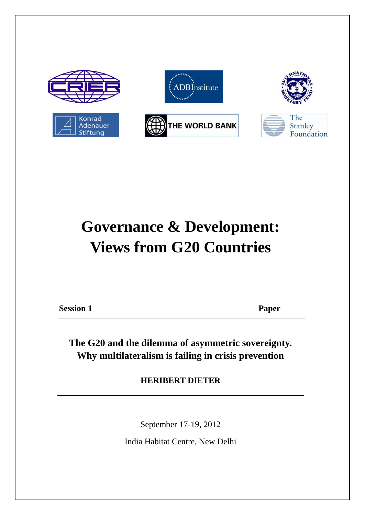

# **Governance & Development: Views from G20 Countries**

**Session 1 Paper**

**The G20 and the dilemma of asymmetric sovereignty. Why multilateralism is failing in crisis prevention**

**HERIBERT DIETER**

September 17-19, 2012

India Habitat Centre, New Delhi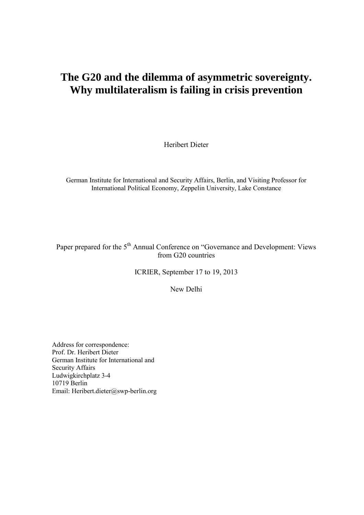## **The G20 and the dilemma of asymmetric sovereignty. Why multilateralism is failing in crisis prevention**

Heribert Dieter

German Institute for International and Security Affairs, Berlin, and Visiting Professor for International Political Economy, Zeppelin University, Lake Constance

Paper prepared for the 5<sup>th</sup> Annual Conference on "Governance and Development: Views from G20 countries

ICRIER, September 17 to 19, 2013

New Delhi

Address for correspondence: Prof. Dr. Heribert Dieter German Institute for International and Security Affairs Ludwigkirchplatz 3-4 10719 Berlin Email: Heribert.dieter@swp-berlin.org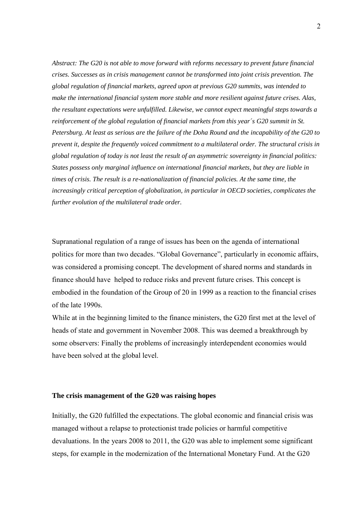*Abstract: The G20 is not able to move forward with reforms necessary to prevent future financial crises. Successes as in crisis management cannot be transformed into joint crisis prevention. The global regulation of financial markets, agreed upon at previous G20 summits, was intended to make the international financial system more stable and more resilient against future crises. Alas, the resultant expectations were unfulfilled. Likewise, we cannot expect meaningful steps towards a reinforcement of the global regulation of financial markets from this year´s G20 summit in St. Petersburg. At least as serious are the failure of the Doha Round and the incapability of the G20 to prevent it, despite the frequently voiced commitment to a multilateral order. The structural crisis in global regulation of today is not least the result of an asymmetric sovereignty in financial politics: States possess only marginal influence on international financial markets, but they are liable in times of crisis. The result is a re-nationalization of financial policies. At the same time, the increasingly critical perception of globalization, in particular in OECD societies, complicates the further evolution of the multilateral trade order.*

Supranational regulation of a range of issues has been on the agenda of international politics for more than two decades. "Global Governance", particularly in economic affairs, was considered a promising concept. The development of shared norms and standards in finance should have helped to reduce risks and prevent future crises. This concept is embodied in the foundation of the Group of 20 in 1999 as a reaction to the financial crises of the late 1990s.

While at in the beginning limited to the finance ministers, the G20 first met at the level of heads of state and government in November 2008. This was deemed a breakthrough by some observers: Finally the problems of increasingly interdependent economies would have been solved at the global level.

### **The crisis management of the G20 was raising hopes**

Initially, the G20 fulfilled the expectations. The global economic and financial crisis was managed without a relapse to protectionist trade policies or harmful competitive devaluations. In the years 2008 to 2011, the G20 was able to implement some significant steps, for example in the modernization of the International Monetary Fund. At the G20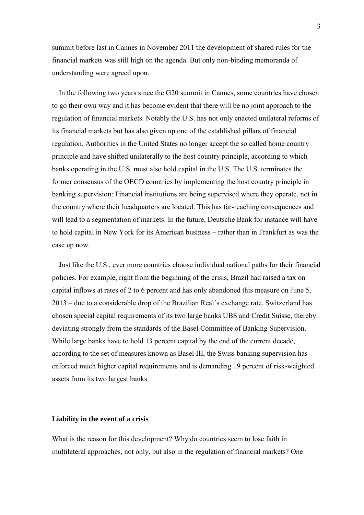summit before last in Cannes in November 2011 the development of shared rules for the financial markets was still high on the agenda. But only non-binding memoranda of understanding were agreed upon.

In the following two years since the G20 summit in Cannes, some countries have chosen to go their own way and it has become evident that there will be no joint approach to the regulation of financial markets. Notably the U.S. has not only enacted unilateral reforms of its financial markets but has also given up one of the established pillars of financial regulation. Authorities in the United States no longer accept the so called home country principle and have shifted unilaterally to the host country principle, according to which banks operating in the U.S. must also hold capital in the U.S. The U.S. terminates the former consensus of the OECD countries by implementing the host country principle in banking supervision: Financial institutions are being supervised where they operate, not in the country where their headquarters are located. This has far-reaching consequences and will lead to a segmentation of markets. In the future, Deutsche Bank for instance will have to hold capital in New York for its American business – rather than in Frankfurt as was the case up now.

Just like the U.S., ever more countries choose individual national paths for their financial policies. For example, right from the beginning of the crisis, Brazil had raised a tax on capital inflows at rates of 2 to 6 percent and has only abandoned this measure on June 5, 2013 – due to a considerable drop of the Brazilian Real´s exchange rate. Switzerland has chosen special capital requirements of its two large banks UBS and Credit Suisse, thereby deviating strongly from the standards of the Basel Committee of Banking Supervision. While large banks have to hold 13 percent capital by the end of the current decade, according to the set of measures known as Basel III, the Swiss banking supervision has enforced much higher capital requirements and is demanding 19 percent of risk-weighted assets from its two largest banks.

### **Liability in the event of a crisis**

What is the reason for this development? Why do countries seem to lose faith in multilateral approaches, not only, but also in the regulation of financial markets? One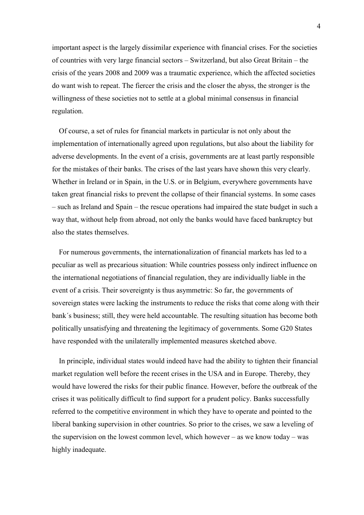important aspect is the largely dissimilar experience with financial crises. For the societies of countries with very large financial sectors – Switzerland, but also Great Britain – the crisis of the years 2008 and 2009 was a traumatic experience, which the affected societies do want wish to repeat. The fiercer the crisis and the closer the abyss, the stronger is the willingness of these societies not to settle at a global minimal consensus in financial regulation.

Of course, a set of rules for financial markets in particular is not only about the implementation of internationally agreed upon regulations, but also about the liability for adverse developments. In the event of a crisis, governments are at least partly responsible for the mistakes of their banks. The crises of the last years have shown this very clearly. Whether in Ireland or in Spain, in the U.S. or in Belgium, everywhere governments have taken great financial risks to prevent the collapse of their financial systems. In some cases – such as Ireland and Spain – the rescue operations had impaired the state budget in such a way that, without help from abroad, not only the banks would have faced bankruptcy but also the states themselves.

For numerous governments, the internationalization of financial markets has led to a peculiar as well as precarious situation: While countries possess only indirect influence on the international negotiations of financial regulation, they are individually liable in the event of a crisis. Their sovereignty is thus asymmetric: So far, the governments of sovereign states were lacking the instruments to reduce the risks that come along with their bank´s business; still, they were held accountable. The resulting situation has become both politically unsatisfying and threatening the legitimacy of governments. Some G20 States have responded with the unilaterally implemented measures sketched above.

In principle, individual states would indeed have had the ability to tighten their financial market regulation well before the recent crises in the USA and in Europe. Thereby, they would have lowered the risks for their public finance. However, before the outbreak of the crises it was politically difficult to find support for a prudent policy. Banks successfully referred to the competitive environment in which they have to operate and pointed to the liberal banking supervision in other countries. So prior to the crises, we saw a leveling of the supervision on the lowest common level, which however – as we know today – was highly inadequate.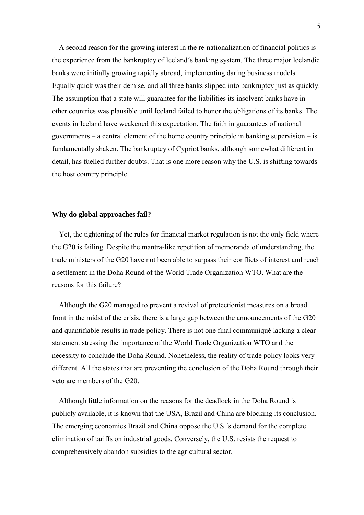A second reason for the growing interest in the re-nationalization of financial politics is the experience from the bankruptcy of Iceland´s banking system. The three major Icelandic banks were initially growing rapidly abroad, implementing daring business models. Equally quick was their demise, and all three banks slipped into bankruptcy just as quickly. The assumption that a state will guarantee for the liabilities its insolvent banks have in other countries was plausible until Iceland failed to honor the obligations of its banks. The events in Iceland have weakened this expectation. The faith in guarantees of national governments – a central element of the home country principle in banking supervision – is fundamentally shaken. The bankruptcy of Cypriot banks, although somewhat different in detail, has fuelled further doubts. That is one more reason why the U.S. is shifting towards the host country principle.

### **Why do global approaches fail?**

Yet, the tightening of the rules for financial market regulation is not the only field where the G20 is failing. Despite the mantra-like repetition of memoranda of understanding, the trade ministers of the G20 have not been able to surpass their conflicts of interest and reach a settlement in the Doha Round of the World Trade Organization WTO. What are the reasons for this failure?

Although the G20 managed to prevent a revival of protectionist measures on a broad front in the midst of the crisis, there is a large gap between the announcements of the G20 and quantifiable results in trade policy. There is not one final communiqué lacking a clear statement stressing the importance of the World Trade Organization WTO and the necessity to conclude the Doha Round. Nonetheless, the reality of trade policy looks very different. All the states that are preventing the conclusion of the Doha Round through their veto are members of the G20.

Although little information on the reasons for the deadlock in the Doha Round is publicly available, it is known that the USA, Brazil and China are blocking its conclusion. The emerging economies Brazil and China oppose the U.S.´s demand for the complete elimination of tariffs on industrial goods. Conversely, the U.S. resists the request to comprehensively abandon subsidies to the agricultural sector.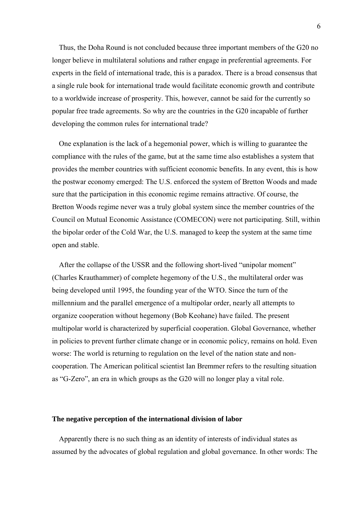Thus, the Doha Round is not concluded because three important members of the G20 no longer believe in multilateral solutions and rather engage in preferential agreements. For experts in the field of international trade, this is a paradox. There is a broad consensus that a single rule book for international trade would facilitate economic growth and contribute to a worldwide increase of prosperity. This, however, cannot be said for the currently so popular free trade agreements. So why are the countries in the G20 incapable of further developing the common rules for international trade?

One explanation is the lack of a hegemonial power, which is willing to guarantee the compliance with the rules of the game, but at the same time also establishes a system that provides the member countries with sufficient economic benefits. In any event, this is how the postwar economy emerged: The U.S. enforced the system of Bretton Woods and made sure that the participation in this economic regime remains attractive. Of course, the Bretton Woods regime never was a truly global system since the member countries of the Council on Mutual Economic Assistance (COMECON) were not participating. Still, within the bipolar order of the Cold War, the U.S. managed to keep the system at the same time open and stable.

After the collapse of the USSR and the following short-lived "unipolar moment" (Charles Krauthammer) of complete hegemony of the U.S., the multilateral order was being developed until 1995, the founding year of the WTO. Since the turn of the millennium and the parallel emergence of a multipolar order, nearly all attempts to organize cooperation without hegemony (Bob Keohane) have failed. The present multipolar world is characterized by superficial cooperation. Global Governance, whether in policies to prevent further climate change or in economic policy, remains on hold. Even worse: The world is returning to regulation on the level of the nation state and noncooperation. The American political scientist Ian Bremmer refers to the resulting situation as "G-Zero", an era in which groups as the G20 will no longer play a vital role.

#### **The negative perception of the international division of labor**

Apparently there is no such thing as an identity of interests of individual states as assumed by the advocates of global regulation and global governance. In other words: The